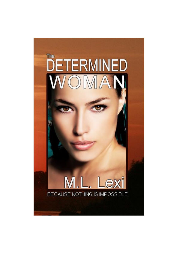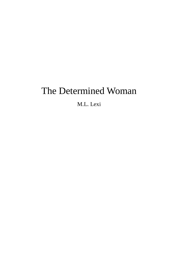# The Determined Woman

M.L. Lexi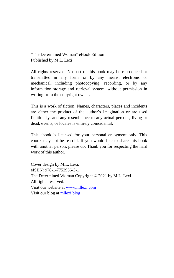<span id="page-2-0"></span>"The Determined Woman" eBook Edition Published by M.L. Lexi

All rights reserved. No part of this book may be reproduced or transmitted in any form, or by any means, electronic or mechanical, including photocopying, recording, or by any information storage and retrieval system, without permission in writing from the copyright owner.

This is a work of fiction. Names, characters, places and incidents are either the product of the author's imagination or are used fictitiously, and any resemblance to any actual persons, living or dead, events, or locales is entirely coincidental.

This ebook is licensed for your personal enjoyment only. This ebook may not be re-sold. If you would like to share this book with another person, please do. Thank you for respecting the hard work of this author.

Cover design by M.L. Lexi. eISBN: 978-1-7752956-3-1 The Determined Woman Copyright © 2021 by M.L. Lexi All rights reserved. Visit our website a[t www.mllexi.com](https://www.mllexi.com/books-by-m.l.lexi.html) Visit our blog at [mllexi.blog](https://mllexi.blog/)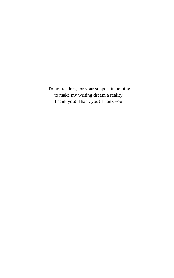<span id="page-3-0"></span>To my readers, for your support in helping to make my writing dream a reality. Thank you! Thank you! Thank you!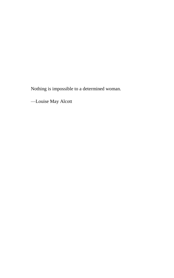Nothing is impossible to a determined woman.

—Louise May Alcott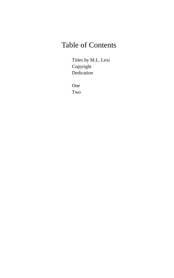## Table of Contents

[Titles by M.L. Lexi](#page-22-0) [Copyright](#page-2-0) [Dedication](#page-3-0)

[One](#page-11-0) [Two](#page-15-0)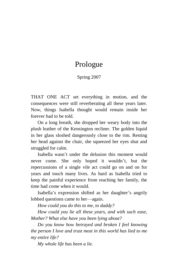### Prologue

#### Spring 2007

THAT ONE ACT set everything in motion, and the consequences were still reverberating all these years later. Now, things Isabella thought would remain inside her forever had to be told.

On a long breath, she dropped her weary body into the plush leather of the Kensington recliner. The golden liquid in her glass sloshed dangerously close to the rim. Resting her head against the chair, she squeezed her eyes shut and struggled for calm.

Isabella wasn't under the delusion this moment would never come. She only hoped it wouldn't, but the repercussions of a single vile act could go on and on for years and touch many lives. As hard as Isabella tried to keep the painful experience from reaching her family, the time had come when it would.

Isabella's expression shifted as her daughter's angrily lobbed questions came to her—again.

*How could you do this to me, to daddy?*

*How could you lie all these years, and with such ease, Mother? What else have you been lying about?*

*Do you know how betrayed and broken I feel knowing the person I love and trust most in this world has lied to me my entire life?*

*My whole life has been a lie.*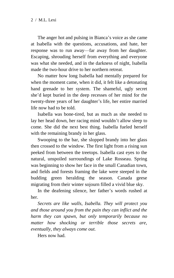The anger hot and pulsing in Bianca's voice as she came at Isabella with the questions, accusations, and hate, her response was to run away—far away from her daughter. Escaping, shrouding herself from everything and everyone was what she needed, and in the darkness of night, Isabella made the two-hour drive to her northern retreat.

No matter how long Isabella had mentally prepared for when the moment came, when it did, it felt like a detonating hand grenade to her system. The shameful, ugly secret she'd kept buried in the deep recesses of her mind for the twenty-three years of her daughter's life, her entire married life now had to be told.

Isabella was bone-tired, but as much as she needed to lay her head down, her racing mind wouldn't allow sleep to come. She did the next best thing. Isabella fueled herself with the remaining brandy in her glass.

Swooping to the bar, she slopped brandy into her glass then crossed to the window. The first light from a rising sun peeked from between the treetops. Isabella cast eyes to the natural, unspoiled surroundings of Lake Rosseau. Spring was beginning to show her face in the small Canadian town, and fields and forests framing the lake were steeped in the budding green heralding the season. Canada geese migrating from their winter sojourn filled a vivid blue sky.

In the deafening silence, her father's words rushed at her.

*Secrets are like walls, Isabella. They will protect you and those around you from the pain they can inflict and the harm they can spawn, but only temporarily because no matter how shocking or terrible those secrets are, eventually, they always come out.*

Hers now had.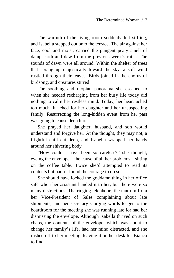The warmth of the living room suddenly felt stifling, and Isabella stepped out onto the terrace. The air against her face, cool and moist, carried the pungent peaty smell of damp earth and dew from the previous week's rains. The sounds of dawn were all around. Within the shelter of trees that sprang up majestically toward the sky, a soft wind rustled through their leaves. Birds joined in the chorus of birdsong, and creatures stirred.

The soothing and utopian panorama she escaped to when she needed recharging from her busy life today did nothing to calm her restless mind. Today, her heart ached too much. It ached for her daughter and her unsuspecting family. Resurrecting the long-hidden event from her past was going to cause deep hurt.

She prayed her daughter, husband, and son would understand and forgive her. At the thought, they may not, a frightful chill cut deep, and Isabella wrapped her hands around her shivering body.

"How could I have been so careless?" she thought, eyeing the envelope—the cause of all her problems—sitting on the coffee table. Twice she'd attempted to read its contents but hadn't found the courage to do so.

She should have locked the goddamn thing in her office safe when her assistant handed it to her, but there were so many distractions. The ringing telephone, the tantrum from her Vice-President of Sales complaining about late shipments, and her secretary's urging words to get to the boardroom for the meeting she was running late for had her dismissing the envelope. Although Isabella thrived on such chaos, the contents of the envelope, which was about to change her family's life, had her mind distracted, and she rushed off to her meeting, leaving it on her desk for Bianca to find.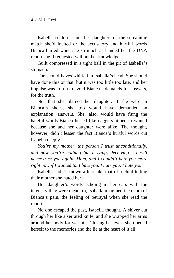Isabella couldn't fault her daughter for the screaming match she'd incited or the accusatory and hurtful words Bianca hurled when she so much as handed her the DNA report she'd requested without her knowledge.

Guilt compressed in a tight ball in the pit of Isabella's stomach.

The should-haves whirled in Isabella's head. She should have done this or that, but it was too little too late, and her impulse was to run to avoid Bianca's demands for answers, for the truth.

Not that she blamed her daughter. If she were in Bianca's shoes, she too would have demanded an explanation, answers. She, also, would have flung the hateful words Bianca hurled like daggers aimed to wound because she and her daughter were alike. The thought, however, didn't lessen the fact Bianca's hurtful words cut Isabella deeply.

*You're my mother, the person I trust unconditionally, and now you're nothing but a lying, deceiving— I will never trust you again, Mom, and I couldn't hate you more right now if I wanted to. I hate you. I hate you. I hate you.*

Isabella hadn't known a hurt like that of a child telling their mother she hated her.

Her daughter's words echoing in her ears with the intensity they were meant to, Isabella imagined the depth of Bianca's pain, the feeling of betrayal when she read the report.

No one escaped the past, Isabella thought. A shiver cut through her like a serrated knife, and she wrapped her arms around her body for warmth. Closing her eyes, she opened herself to the memories and the lie at the heart of it all.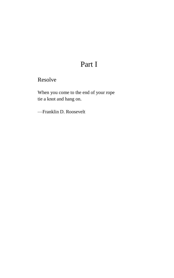## Part I

Resolve

When you come to the end of your rope tie a knot and hang on.

—Franklin D. Roosevelt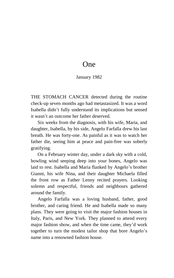### One

#### January 1982

<span id="page-11-0"></span>THE STOMACH CANCER detected during the routine check-up seven months ago had metastasized. It was a word Isabella didn't fully understand its implications but sensed it wasn't an outcome her father deserved.

Six weeks from the diagnosis, with his wife, Maria, and daughter, Isabella, by his side, Angelo Farfalla drew his last breath. He was forty-one. As painful as it was to watch her father die, seeing him at peace and pain-free was soberly gratifying.

On a February winter day, under a dark sky with a cold, howling wind seeping deep into your bones, Angelo was laid to rest. Isabella and Maria flanked by Angelo's brother Gianni, his wife Nina, and their daughter Michaela filled the front row as Father Lenny recited prayers. Looking solemn and respectful, friends and neighbours gathered around the family.

Angelo Farfalla was a loving husband, father, good brother, and caring friend. He and Isabella made so many plans. They were going to visit the major fashion houses in Italy, Paris, and New York. They planned to attend every major fashion show, and when the time came, they'd work together to turn the modest tailor shop that bore Angelo's name into a renowned fashion house.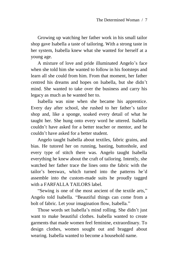Growing up watching her father work in his small tailor shop gave Isabella a taste of tailoring. With a strong taste in her system, Isabella knew what she wanted for herself at a young age.

A mixture of love and pride illuminated Angelo's face when she told him she wanted to follow in his footsteps and learn all she could from him. From that moment, her father centred his dreams and hopes on Isabella, but she didn't mind. She wanted to take over the business and carry his legacy as much as he wanted her to.

Isabella was nine when she became his apprentice. Every day after school, she rushed to her father's tailor shop and, like a sponge, soaked every detail of what he taught her. She hung onto every word he uttered. Isabella couldn't have asked for a better teacher or mentor, and he couldn't have asked for a better student.

Angelo taught Isabella about textiles, fabric grains, and bias. He tutored her on running, basting, buttonhole, and every type of stitch there was. Angelo taught Isabella everything he knew about the craft of tailoring. Intently, she watched her father trace the lines onto the fabric with the tailor's beeswax, which turned into the patterns he'd assemble into the custom-made suits he proudly tagged with a FARFALLA TAILORS label.

"Sewing is one of the most ancient of the textile arts," Angelo told Isabella. "Beautiful things can come from a bolt of fabric. Let your imagination flow, Isabella."

Those words set Isabella's mind rolling. She didn't just want to make beautiful clothes. Isabella wanted to create garments that made women feel feminine, extraordinary. To design clothes, women sought out and bragged about wearing. Isabella wanted to become a household name.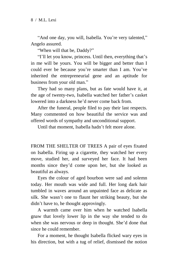"And one day, you will, Isabella. You're very talented," Angelo assured.

"When will that be, Daddy?"

"I'll let you know, princess. Until then, everything that's in me will be yours. You will be bigger and better than I could ever be because you're smarter than I am. You've inherited the entrepreneurial gene and an aptitude for business from your old man."

They had so many plans, but as fate would have it, at the age of twenty-two, Isabella watched her father's casket lowered into a darkness he'd never come back from.

After the funeral, people filed to pay their last respects. Many commented on how beautiful the service was and offered words of sympathy and unconditional support.

Until that moment, Isabella hadn't felt more alone.

FROM THE SHELTER OF TREES A pair of eyes fixated on Isabella. Firing up a cigarette, they watched her every move, studied her, and surveyed her face. It had been months since they'd come upon her, but she looked as beautiful as always.

Eyes the colour of aged bourbon were sad and solemn today. Her mouth was wide and full. Her long dark hair tumbled in waves around an unpainted face as delicate as silk. She wasn't one to flaunt her striking beauty, but she didn't have to, he thought approvingly.

A warmth came over him when he watched Isabella gnaw that lovely lower lip in the way she tended to do when she was nervous or deep in thought. She'd done that since he could remember.

For a moment, he thought Isabella flicked wary eyes in his direction, but with a tug of relief, dismissed the notion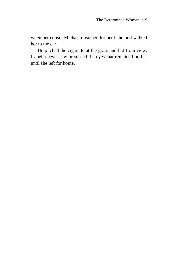when her cousin Michaela reached for her hand and walked her to the car.

He pitched the cigarette at the grass and hid from view. Isabella never saw or sensed the eyes that remained on her until she left for home.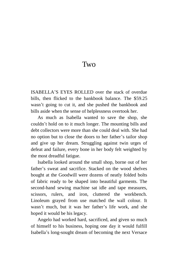#### Two

<span id="page-15-0"></span>ISABELLA'S EYES ROLLED over the stack of overdue bills, then flicked to the bankbook balance. The \$59.25 wasn't going to cut it, and she pushed the bankbook and bills aside when the sense of helplessness overtook her.

As much as Isabella wanted to save the shop, she couldn't hold on to it much longer. The mounting bills and debt collectors were more than she could deal with. She had no option but to close the doors to her father's tailor shop and give up her dream. Struggling against twin urges of defeat and failure, every bone in her body felt weighted by the most dreadful fatigue.

Isabella looked around the small shop, borne out of her father's sweat and sacrifice. Stacked on the wood shelves bought at the Goodwill were dozens of neatly folded bolts of fabric ready to be shaped into beautiful garments. The second-hand sewing machine sat idle and tape measures, scissors, rulers, and iron, cluttered the workbench. Linoleum grayed from use matched the wall colour. It wasn't much, but it was her father's life work, and she hoped it would be his legacy.

Angelo had worked hard, sacrificed, and given so much of himself to his business, hoping one day it would fulfill Isabella's long-sought dream of becoming the next Versace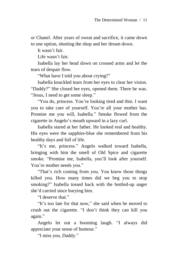or Chanel. After years of sweat and sacrifice, it came down to one option, shutting the shop and her dream down.

It wasn't fair.

Life wasn't fair.

Isabella lay her head down on crossed arms and let the tears of despair flow.

"What have I told you about crying?"

Isabella knuckled tears from her eyes to clear her vision. "Daddy?" She closed her eyes, opened them. There he was. "Jesus, I need to get some sleep."

"You do, princess. You're looking tired and thin. I want you to take care of yourself. You're all your mother has. Promise me you will, Isabella." Smoke flowed from the cigarette in Angelo's mouth upward in a lazy curl.

Isabella stared at her father. He looked real and healthy. His eyes were the sapphire-blue she remembered from his healthy days and full of life.

"It's me, princess." Angelo walked toward Isabella, bringing with him the smell of Old Spice and cigarette smoke. "Promise me, Isabella, you'll look after yourself. You're mother needs you."

"That's rich coming from you. You know those things killed you. How many times did we beg you to stop smoking?" Isabella tossed back with the bottled-up anger she'd carried since burying him.

"I deserve that."

"It's too late for that now," she said when he moved to crush out the cigarette. "I don't think they can kill you again."

Angelo let out a booming laugh. "I always did appreciate your sense of humour."

"I miss you, Daddy."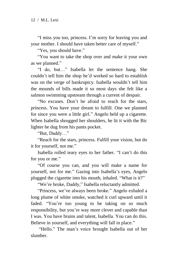"I miss you too, princess. I'm sorry for leaving you and your mother. I should have taken better care of myself."

"Yes, you should have."

"You want to take the shop over and make it your own as we planned."

"I do, but…" Isabella let the sentence hang. She couldn't tell him the shop he'd worked so hard to establish was on the verge of bankruptcy. Isabella wouldn't tell him the mounds of bills made it so most days she felt like a salmon swimming upstream through a current of despair.

"No excuses. Don't be afraid to reach for the stars, princess. You have your dream to fulfill. One we planned for since you were a little girl." Angelo held up a cigarette. When Isabella shrugged her shoulders, he lit it with the Bic lighter he dug from his pants pocket.

"But, Daddy…"

"Reach for the stars, princess. Fulfill your vision, but do it for yourself, not me."

Isabella rolled teary eyes to her father. "I can't do this for you or me."

"Of course you can, and you will make a name for yourself, not for me." Gazing into Isabella's eyes, Angelo plugged the cigarette into his mouth, inhaled. "What is it?"

"We're broke, Daddy," Isabella reluctantly admitted.

"Princess, we've always been broke." Angelo exhaled a long plume of white smoke, watched it curl upward until it faded. "You're too young to be taking on so much responsibility, but you're way more clever and capable than I was. You have brains and talent, Isabella. You can do this. Believe in yourself, and everything will fall in place."

"Hello." The man's voice brought Isabella out of her slumber.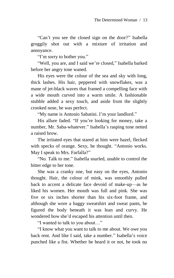"Can't you see the closed sign on the door?" Isabella groggily shot out with a mixture of irritation and annoyance.

"I'm sorry to bother you."

"Well, you are, and I said we're closed," Isabella barked before her angry tone waned.

His eyes were the colour of the sea and sky with long, thick lashes. His hair, peppered with snowflakes, was a mane of jet-black waves that framed a compelling face with a wide mouth curved into a warm smile. A fashionable stubble added a sexy touch, and aside from the slightly crooked nose, he was perfect.

"My name is Antonio Sabatini. I'm your landlord."

His allure faded. "If you're looking for money, take a number, Mr. Saba-whatever." Isabella's rasping tone netted a raised brow.

The irritated eyes that stared at him were hazel, flecked with specks of orange. Sexy, he thought. "Antonio works. May I speak to Mrs. Farfalla?"

"No. Talk to me." Isabella snarled, unable to control the bitter edge to her tone.

She was a cranky one, but easy on the eyes, Antonio thought. Hair, the colour of mink, was smoothly pulled back to accent a delicate face devoid of make-up—as he liked his women. Her mouth was full and pink. She was five or six inches shorter than his six-foot frame, and although she wore a baggy sweatshirt and sweat pants, he figured the body beneath it was lean and curvy. He wondered how she'd escaped his attention until then.

"I wanted to talk to you about…"

"I know what you want to talk to me about. We owe you back rent. And like I said, take a number." Isabella's voice punched like a fist. Whether he heard it or not, he took no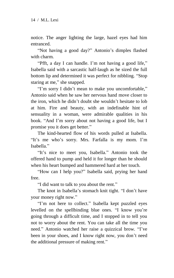notice. The anger lighting the large, hazel eyes had him entranced.

"Not having a good day?" Antonio's dimples flashed with charm.

"Pfft, a day I can handle. I'm not having a good life," Isabella said with a sarcastic half-laugh as he sized the full bottom lip and determined it was perfect for nibbling. "Stop staring at me," she snapped.

"I'm sorry I didn't mean to make you uncomfortable," Antonio said when he saw her nervous hand move closer to the iron, which he didn't doubt she wouldn't hesitate to lob at him. Fire and beauty, with an indefinable hint of sensuality in a woman, were admirable qualities in his book. "And I'm sorry about not having a good life, but I promise you it does get better."

The kind-hearted flow of his words pulled at Isabella. "It's me who's sorry. Mrs. Farfalla is my mom. I'm Isabella."

"It's nice to meet you, Isabella." Antonio took the offered hand to pump and held it for longer than he should when his heart bumped and hammered hard at her touch.

"How can I help you?" Isabella said, prying her hand free.

"I did want to talk to you about the rent."

The knot in Isabella's stomach knit tight. "I don't have your money right now."

"I'm not here to collect." Isabella kept puzzled eyes levelled on the spellbinding blue ones. "I know you're going through a difficult time, and I stopped in to tell you not to worry about the rent. You can take all the time you need." Antonio watched her raise a quizzical brow. "I've been in your shoes, and I know right now, you don't need the additional pressure of making rent."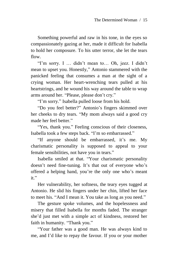Something powerful and raw in his tone, in the eyes so compassionately gazing at her, made it difficult for Isabella to hold her composure. To his utter terror, she let the tears flow.

"I'm sorry. I … didn't mean to… Oh, jeez. I didn't mean to upset you. Honestly," Antonio stammered with the panicked feeling that consumes a man at the sight of a crying woman. Her heart-wrenching tears pulled at his heartstrings, and he wound his way around the table to wrap arms around her. "Please, please don't cry."

"I'm sorry." Isabella pulled loose from his hold.

"Do you feel better?" Antonio's fingers skimmed over her cheeks to dry tears. "My mom always said a good cry made her feel better."

"Yes, thank you." Feeling conscious of their closeness, Isabella took a few steps back. "I'm so embarrassed."

"If anyone should be embarrassed, it's me. My charismatic personality is supposed to appeal to your female sensibilities, not have you in tears."

Isabella smiled at that. "Your charismatic personality doesn't need fine-tuning. It's that out of everyone who's offered a helping hand, you're the only one who's meant it."

Her vulnerability, her softness, the teary eyes tugged at Antonio. He slid his fingers under her chin, lifted her face to meet his. "And I mean it. You take as long as you need."

The gesture spoke volumes, and the hopelessness and misery that filled Isabella for months faded. The stranger she'd just met with a simple act of kindness, restored her faith in humanity. "Thank you."

"Your father was a good man. He was always kind to me, and I'd like to repay the favour. If you or your mother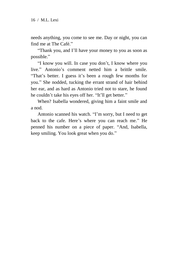needs anything, you come to see me. Day or night, you can find me at The Café."

"Thank you, and I'll have your money to you as soon as possible."

"I know you will. In case you don't, I know where you live." Antonio's comment netted him a brittle smile. "That's better. I guess it's been a rough few months for you." She nodded, tucking the errant strand of hair behind her ear, and as hard as Antonio tried not to stare, he found he couldn't take his eyes off her. "It'll get better."

When? Isabella wondered, giving him a faint smile and a nod.

Antonio scanned his watch. "I'm sorry, but I need to get back to the cafe. Here's where you can reach me." He penned his number on a piece of paper. "And, Isabella, keep smiling. You look great when you do."